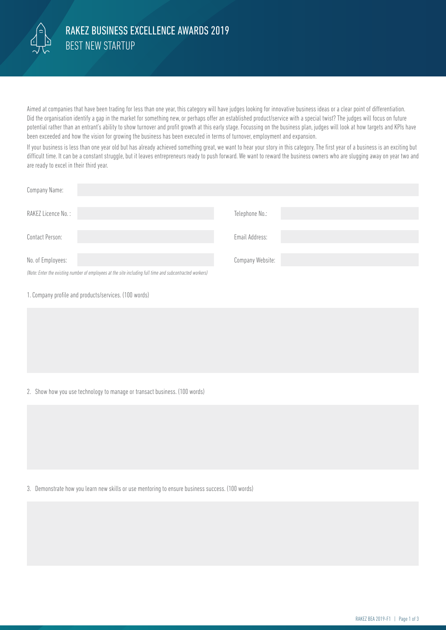

Aimed at companies that have been trading for less than one year, this category will have judges looking for innovative business ideas or a clear point of differentiation. Did the organisation identify a gap in the market for something new, or perhaps offer an established product/service with a special twist? The judges will focus on future potential rather than an entrant's ability to show turnover and profit growth at this early stage. Focussing on the business plan, judges will look at how targets and KPIs have been exceeded and how the vision for growing the business has been executed in terms of turnover, employment and expansion.

If your business is less than one year old but has already achieved something great, we want to hear your story in this category. The first year of a business is an exciting but difficult time. It can be a constant struggle, but it leaves entrepreneurs ready to push forward. We want to reward the business owners who are slugging away on year two and are ready to excel in their third year.

| Company Name:                                                                                            |                  |
|----------------------------------------------------------------------------------------------------------|------------------|
| RAKEZ Licence No.:                                                                                       | Telephone No.:   |
| Contact Person:                                                                                          | Email Address:   |
| No. of Employees:                                                                                        | Company Website: |
| (Note: Enter the existing number of employees at the site including full time and subcontracted workers) |                  |

1. Company profile and products/services. (100 words)

2. Show how you use technology to manage or transact business. (100 words)

3. Demonstrate how you learn new skills or use mentoring to ensure business success. (100 words)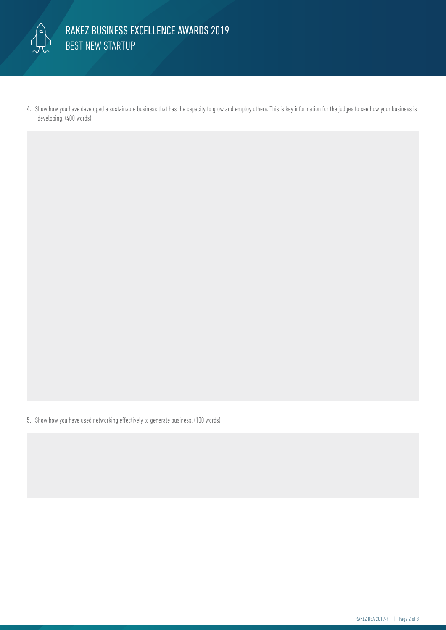

4. Show how you have developed a sustainable business that has the capacity to grow and employ others. This is key information for the judges to see how your business is developing. (400 words)

5. Show how you have used networking effectively to generate business. (100 words)